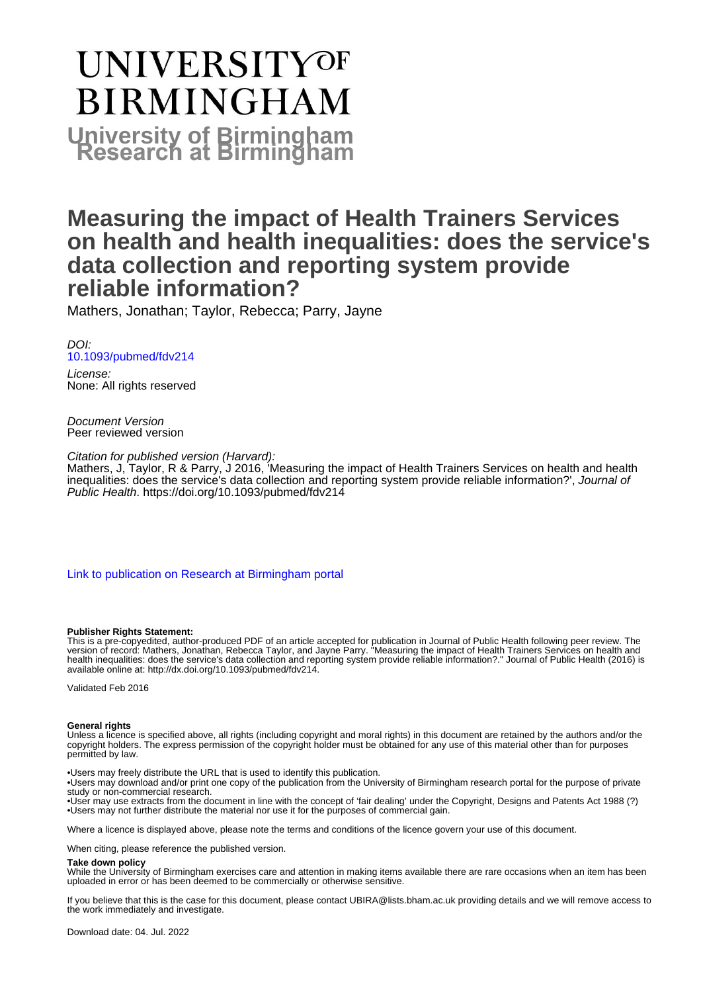# UNIVERSITYOF **BIRMINGHAM University of Birmingham**

# **Measuring the impact of Health Trainers Services on health and health inequalities: does the service's data collection and reporting system provide reliable information?**

Mathers, Jonathan; Taylor, Rebecca; Parry, Jayne

DOI: [10.1093/pubmed/fdv214](https://doi.org/10.1093/pubmed/fdv214)

License: None: All rights reserved

Document Version Peer reviewed version

Citation for published version (Harvard):

Mathers, J, Taylor, R & Parry, J 2016, 'Measuring the impact of Health Trainers Services on health and health inequalities: does the service's data collection and reporting system provide reliable information?', Journal of Public Health.<https://doi.org/10.1093/pubmed/fdv214>

[Link to publication on Research at Birmingham portal](https://birmingham.elsevierpure.com/en/publications/32e92201-535d-4180-9bb9-dd86e46d9d46)

#### **Publisher Rights Statement:**

This is a pre-copyedited, author-produced PDF of an article accepted for publication in Journal of Public Health following peer review. The version of record: Mathers, Jonathan, Rebecca Taylor, and Jayne Parry. "Measuring the impact of Health Trainers Services on health and health inequalities: does the service's data collection and reporting system provide reliable information?." Journal of Public Health (2016) is available online at: http://dx.doi.org/10.1093/pubmed/fdv214.

Validated Feb 2016

#### **General rights**

Unless a licence is specified above, all rights (including copyright and moral rights) in this document are retained by the authors and/or the copyright holders. The express permission of the copyright holder must be obtained for any use of this material other than for purposes permitted by law.

• Users may freely distribute the URL that is used to identify this publication.

• Users may download and/or print one copy of the publication from the University of Birmingham research portal for the purpose of private study or non-commercial research.

• User may use extracts from the document in line with the concept of 'fair dealing' under the Copyright, Designs and Patents Act 1988 (?) • Users may not further distribute the material nor use it for the purposes of commercial gain.

Where a licence is displayed above, please note the terms and conditions of the licence govern your use of this document.

When citing, please reference the published version.

#### **Take down policy**

While the University of Birmingham exercises care and attention in making items available there are rare occasions when an item has been uploaded in error or has been deemed to be commercially or otherwise sensitive.

If you believe that this is the case for this document, please contact UBIRA@lists.bham.ac.uk providing details and we will remove access to the work immediately and investigate.

Download date: 04. Jul. 2022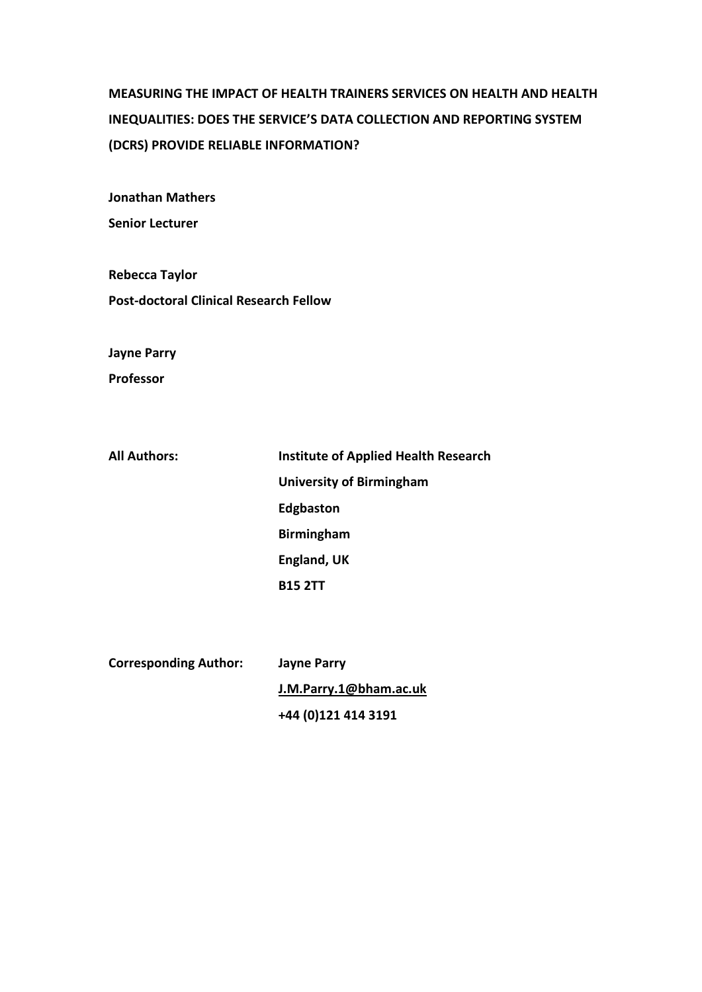# **MEASURING THE IMPACT OF HEALTH TRAINERS SERVICES ON HEALTH AND HEALTH INEQUALITIES: DOES THE SERVICE'S DATA COLLECTION AND REPORTING SYSTEM (DCRS) PROVIDE RELIABLE INFORMATION?**

**Jonathan Mathers**

**Senior Lecturer**

**Rebecca Taylor Post-doctoral Clinical Research Fellow**

**Jayne Parry**

**Professor** 

**All Authors: Institute of Applied Health Research University of Birmingham Edgbaston Birmingham England, UK B15 2TT**

**Corresponding Author: Jayne Parry**

**[J.M.Parry.1@bham.ac.uk](mailto:J.M.Parry.1@bham.ac.uk) +44 (0)121 414 3191**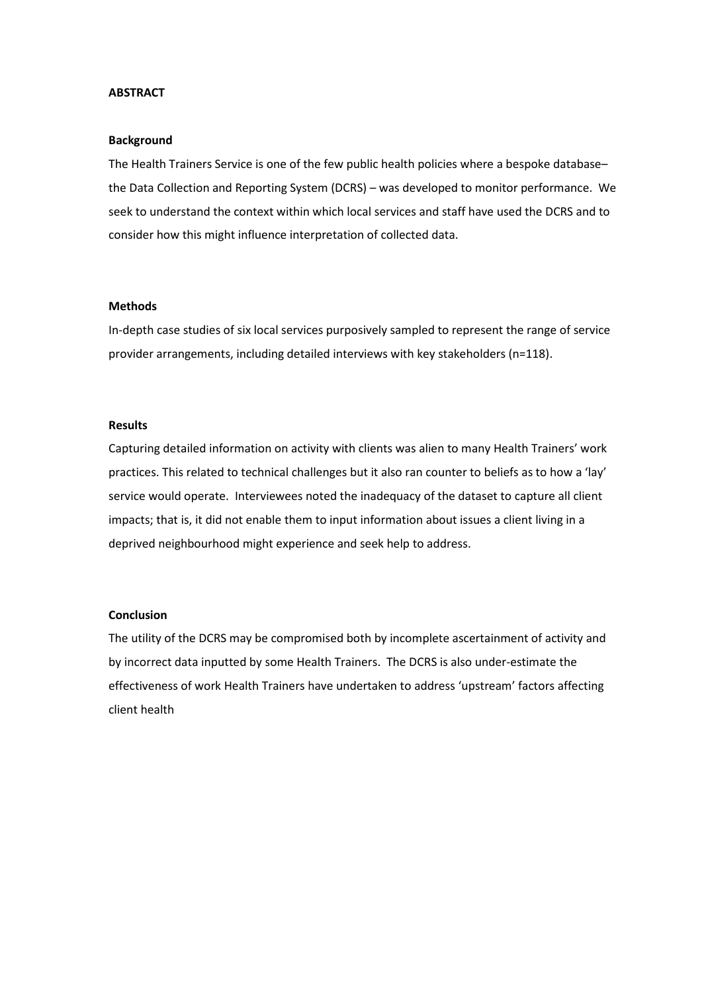#### **ABSTRACT**

# **Background**

The Health Trainers Service is one of the few public health policies where a bespoke database– the Data Collection and Reporting System (DCRS) – was developed to monitor performance. We seek to understand the context within which local services and staff have used the DCRS and to consider how this might influence interpretation of collected data.

# **Methods**

In-depth case studies of six local services purposively sampled to represent the range of service provider arrangements, including detailed interviews with key stakeholders (n=118).

# **Results**

Capturing detailed information on activity with clients was alien to many Health Trainers' work practices. This related to technical challenges but it also ran counter to beliefs as to how a 'lay' service would operate. Interviewees noted the inadequacy of the dataset to capture all client impacts; that is, it did not enable them to input information about issues a client living in a deprived neighbourhood might experience and seek help to address.

# **Conclusion**

The utility of the DCRS may be compromised both by incomplete ascertainment of activity and by incorrect data inputted by some Health Trainers. The DCRS is also under-estimate the effectiveness of work Health Trainers have undertaken to address 'upstream' factors affecting client health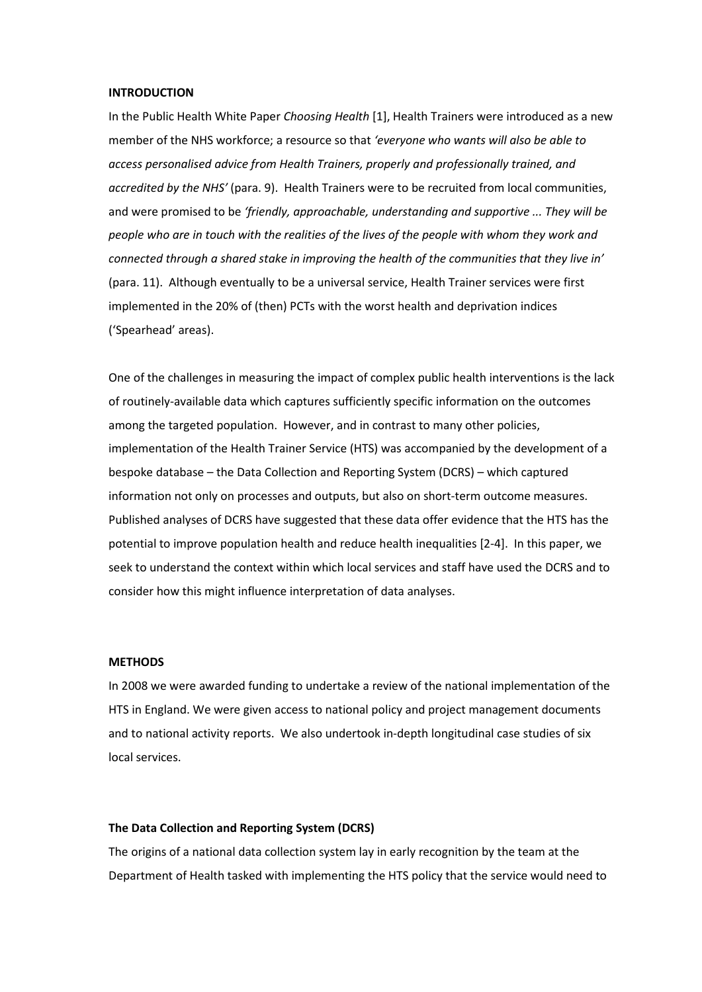#### **INTRODUCTION**

In the Public Health White Paper *Choosing Health* [1], Health Trainers were introduced as a new member of the NHS workforce; a resource so that *'everyone who wants will also be able to access personalised advice from Health Trainers, properly and professionally trained, and accredited by the NHS'* (para. 9). Health Trainers were to be recruited from local communities, and were promised to be *'friendly, approachable, understanding and supportive ... They will be people who are in touch with the realities of the lives of the people with whom they work and connected through a shared stake in improving the health of the communities that they live in'* (para. 11). Although eventually to be a universal service, Health Trainer services were first implemented in the 20% of (then) PCTs with the worst health and deprivation indices ('Spearhead' areas).

One of the challenges in measuring the impact of complex public health interventions is the lack of routinely-available data which captures sufficiently specific information on the outcomes among the targeted population. However, and in contrast to many other policies, implementation of the Health Trainer Service (HTS) was accompanied by the development of a bespoke database – the Data Collection and Reporting System (DCRS) – which captured information not only on processes and outputs, but also on short-term outcome measures. Published analyses of DCRS have suggested that these data offer evidence that the HTS has the potential to improve population health and reduce health inequalities [2-4]. In this paper, we seek to understand the context within which local services and staff have used the DCRS and to consider how this might influence interpretation of data analyses.

## **METHODS**

In 2008 we were awarded funding to undertake a review of the national implementation of the HTS in England. We were given access to national policy and project management documents and to national activity reports. We also undertook in-depth longitudinal case studies of six local services.

# **The Data Collection and Reporting System (DCRS)**

The origins of a national data collection system lay in early recognition by the team at the Department of Health tasked with implementing the HTS policy that the service would need to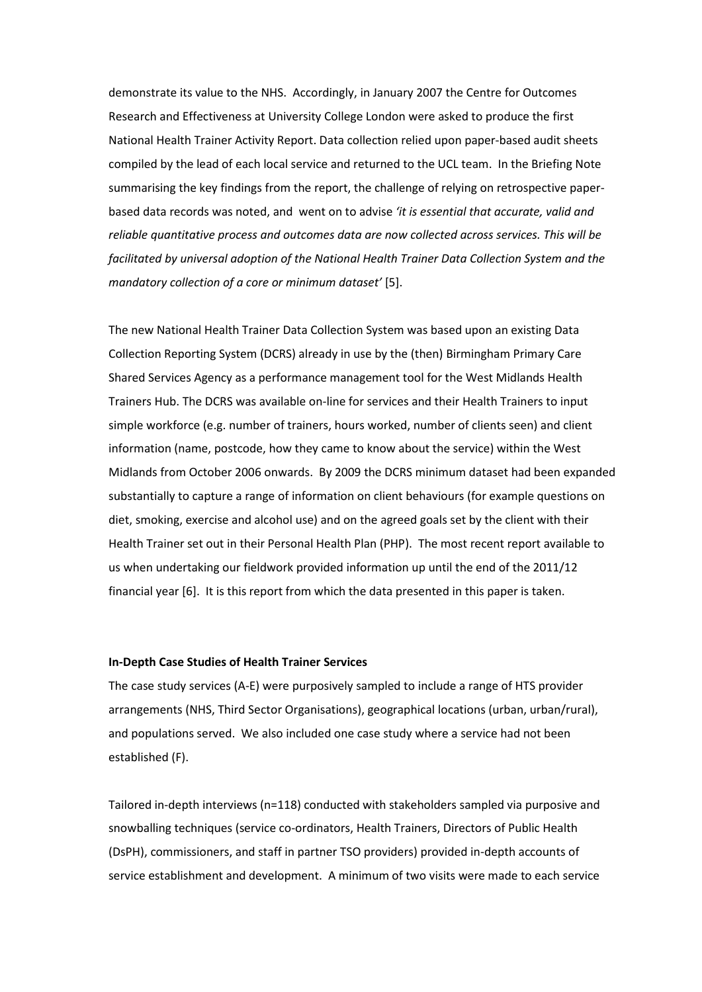demonstrate its value to the NHS. Accordingly, in January 2007 the Centre for Outcomes Research and Effectiveness at University College London were asked to produce the first National Health Trainer Activity Report. Data collection relied upon paper-based audit sheets compiled by the lead of each local service and returned to the UCL team. In the Briefing Note summarising the key findings from the report, the challenge of relying on retrospective paperbased data records was noted, and went on to advise *'it is essential that accurate, valid and reliable quantitative process and outcomes data are now collected across services. This will be facilitated by universal adoption of the National Health Trainer Data Collection System and the mandatory collection of a core or minimum dataset'* [5].

The new National Health Trainer Data Collection System was based upon an existing Data Collection Reporting System (DCRS) already in use by the (then) Birmingham Primary Care Shared Services Agency as a performance management tool for the West Midlands Health Trainers Hub. The DCRS was available on-line for services and their Health Trainers to input simple workforce (e.g. number of trainers, hours worked, number of clients seen) and client information (name, postcode, how they came to know about the service) within the West Midlands from October 2006 onwards. By 2009 the DCRS minimum dataset had been expanded substantially to capture a range of information on client behaviours (for example questions on diet, smoking, exercise and alcohol use) and on the agreed goals set by the client with their Health Trainer set out in their Personal Health Plan (PHP). The most recent report available to us when undertaking our fieldwork provided information up until the end of the 2011/12 financial year [6]. It is this report from which the data presented in this paper is taken.

#### **In-Depth Case Studies of Health Trainer Services**

The case study services (A-E) were purposively sampled to include a range of HTS provider arrangements (NHS, Third Sector Organisations), geographical locations (urban, urban/rural), and populations served. We also included one case study where a service had not been established (F).

Tailored in-depth interviews (n=118) conducted with stakeholders sampled via purposive and snowballing techniques (service co-ordinators, Health Trainers, Directors of Public Health (DsPH), commissioners, and staff in partner TSO providers) provided in-depth accounts of service establishment and development. A minimum of two visits were made to each service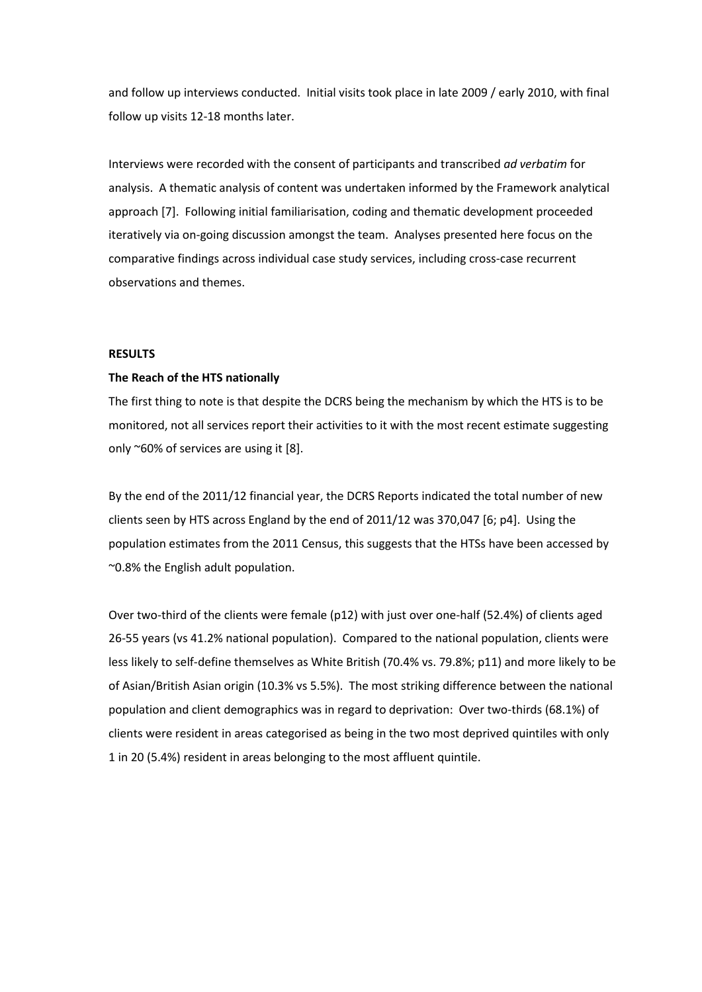and follow up interviews conducted. Initial visits took place in late 2009 / early 2010, with final follow up visits 12-18 months later.

Interviews were recorded with the consent of participants and transcribed *ad verbatim* for analysis. A thematic analysis of content was undertaken informed by the Framework analytical approach [7]. Following initial familiarisation, coding and thematic development proceeded iteratively via on-going discussion amongst the team. Analyses presented here focus on the comparative findings across individual case study services, including cross-case recurrent observations and themes.

# **RESULTS**

#### **The Reach of the HTS nationally**

The first thing to note is that despite the DCRS being the mechanism by which the HTS is to be monitored, not all services report their activities to it with the most recent estimate suggesting only ~60% of services are using it [8].

By the end of the 2011/12 financial year, the DCRS Reports indicated the total number of new clients seen by HTS across England by the end of 2011/12 was 370,047 [6; p4]. Using the population estimates from the 2011 Census, this suggests that the HTSs have been accessed by ~0.8% the English adult population.

Over two-third of the clients were female (p12) with just over one-half (52.4%) of clients aged 26-55 years (vs 41.2% national population). Compared to the national population, clients were less likely to self-define themselves as White British (70.4% vs. 79.8%; p11) and more likely to be of Asian/British Asian origin (10.3% vs 5.5%). The most striking difference between the national population and client demographics was in regard to deprivation: Over two-thirds (68.1%) of clients were resident in areas categorised as being in the two most deprived quintiles with only 1 in 20 (5.4%) resident in areas belonging to the most affluent quintile.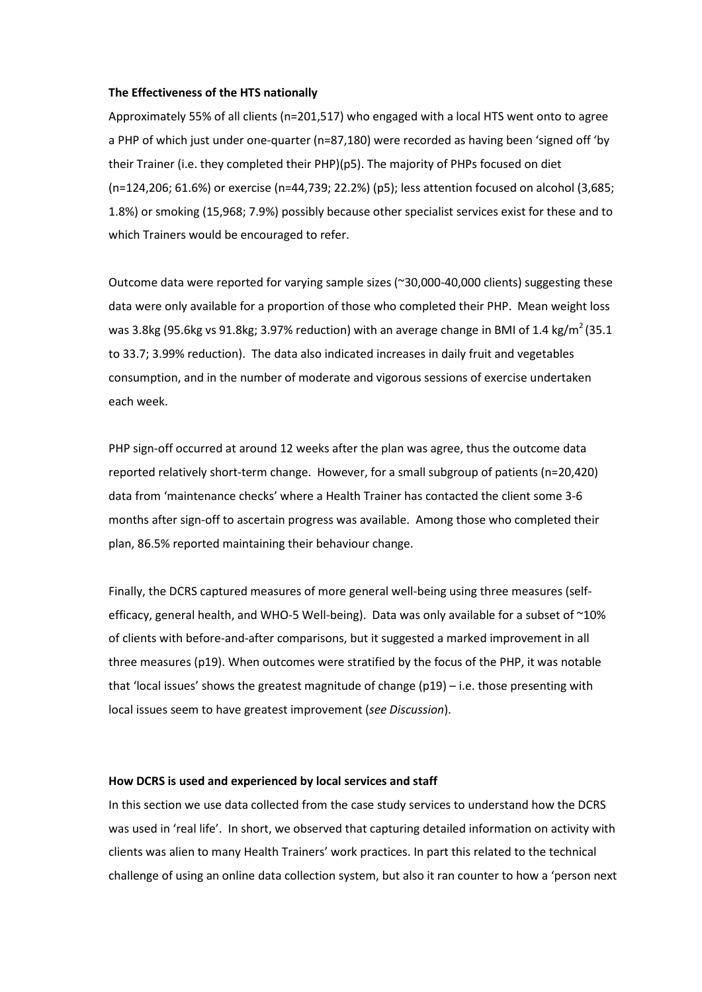#### **The Effectiveness of the HTS nationally**

Approximately 55% of all clients (n=201,517) who engaged with a local HTS went onto to agree a PHP of which just under one-quarter (n=87,180) were recorded as having been 'signed off 'by their Trainer (i.e. they completed their PHP)(p5). The majority of PHPs focused on diet (n=124,206; 61.6%) or exercise (n=44,739; 22.2%) (p5); less attention focused on alcohol (3,685; 1.8%) or smoking (15,968; 7.9%) possibly because other specialist services exist for these and to which Trainers would be encouraged to refer.

Outcome data were reported for varying sample sizes (~30,000-40,000 clients) suggesting these data were only available for a proportion of those who completed their PHP. Mean weight loss was 3.8kg (95.6kg vs 91.8kg; 3.97% reduction) with an average change in BMI of 1.4 kg/m<sup>2</sup> (35.1) to 33.7; 3.99% reduction). The data also indicated increases in daily fruit and vegetables consumption, and in the number of moderate and vigorous sessions of exercise undertaken each week.

PHP sign-off occurred at around 12 weeks after the plan was agree, thus the outcome data reported relatively short-term change. However, for a small subgroup of patients (n=20,420) data from 'maintenance checks' where a Health Trainer has contacted the client some 3-6 months after sign-off to ascertain progress was available. Among those who completed their plan, 86.5% reported maintaining their behaviour change.

Finally, the DCRS captured measures of more general well-being using three measures (selfefficacy, general health, and WHO-5 Well-being). Data was only available for a subset of ~10% of clients with before-and-after comparisons, but it suggested a marked improvement in all three measures (p19). When outcomes were stratified by the focus of the PHP, it was notable that 'local issues' shows the greatest magnitude of change  $(p19) - i.e.$  those presenting with local issues seem to have greatest improvement (*see Discussion*).

#### **How DCRS is used and experienced by local services and staff**

In this section we use data collected from the case study services to understand how the DCRS was used in 'real life'. In short, we observed that capturing detailed information on activity with clients was alien to many Health Trainers' work practices. In part this related to the technical challenge of using an online data collection system, but also it ran counter to how a 'person next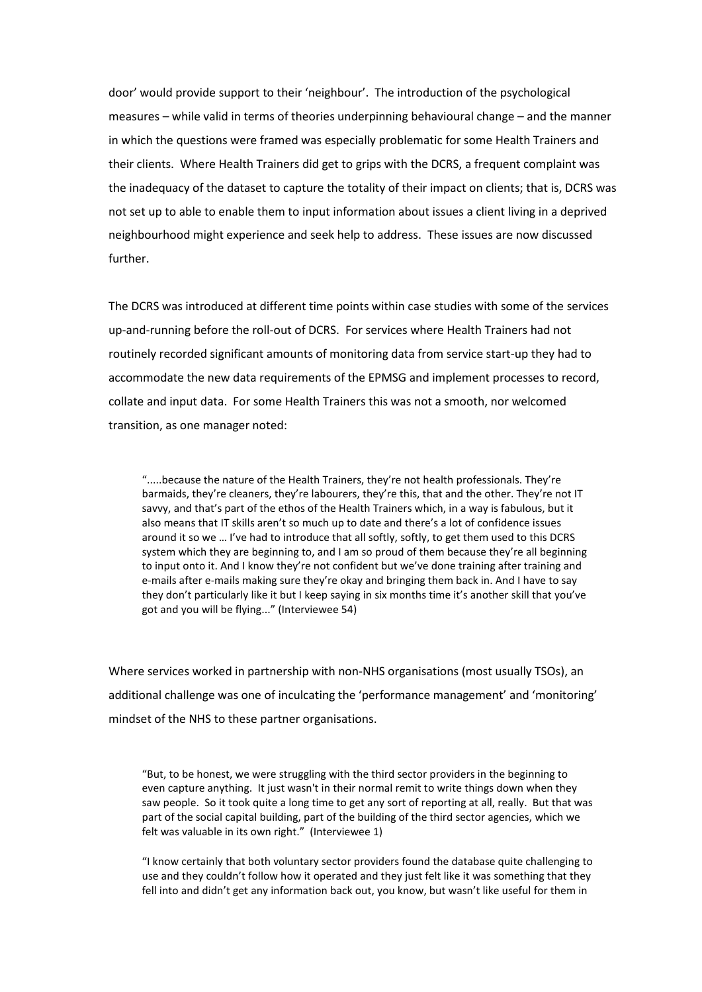door' would provide support to their 'neighbour'. The introduction of the psychological measures – while valid in terms of theories underpinning behavioural change – and the manner in which the questions were framed was especially problematic for some Health Trainers and their clients. Where Health Trainers did get to grips with the DCRS, a frequent complaint was the inadequacy of the dataset to capture the totality of their impact on clients; that is, DCRS was not set up to able to enable them to input information about issues a client living in a deprived neighbourhood might experience and seek help to address. These issues are now discussed further.

The DCRS was introduced at different time points within case studies with some of the services up-and-running before the roll-out of DCRS. For services where Health Trainers had not routinely recorded significant amounts of monitoring data from service start-up they had to accommodate the new data requirements of the EPMSG and implement processes to record, collate and input data. For some Health Trainers this was not a smooth, nor welcomed transition, as one manager noted:

".....because the nature of the Health Trainers, they're not health professionals. They're barmaids, they're cleaners, they're labourers, they're this, that and the other. They're not IT savvy, and that's part of the ethos of the Health Trainers which, in a way is fabulous, but it also means that IT skills aren't so much up to date and there's a lot of confidence issues around it so we … I've had to introduce that all softly, softly, to get them used to this DCRS system which they are beginning to, and I am so proud of them because they're all beginning to input onto it. And I know they're not confident but we've done training after training and e-mails after e-mails making sure they're okay and bringing them back in. And I have to say they don't particularly like it but I keep saying in six months time it's another skill that you've got and you will be flying..." (Interviewee 54)

Where services worked in partnership with non-NHS organisations (most usually TSOs), an additional challenge was one of inculcating the 'performance management' and 'monitoring' mindset of the NHS to these partner organisations.

"But, to be honest, we were struggling with the third sector providers in the beginning to even capture anything. It just wasn't in their normal remit to write things down when they saw people. So it took quite a long time to get any sort of reporting at all, really. But that was part of the social capital building, part of the building of the third sector agencies, which we felt was valuable in its own right." (Interviewee 1)

"I know certainly that both voluntary sector providers found the database quite challenging to use and they couldn't follow how it operated and they just felt like it was something that they fell into and didn't get any information back out, you know, but wasn't like useful for them in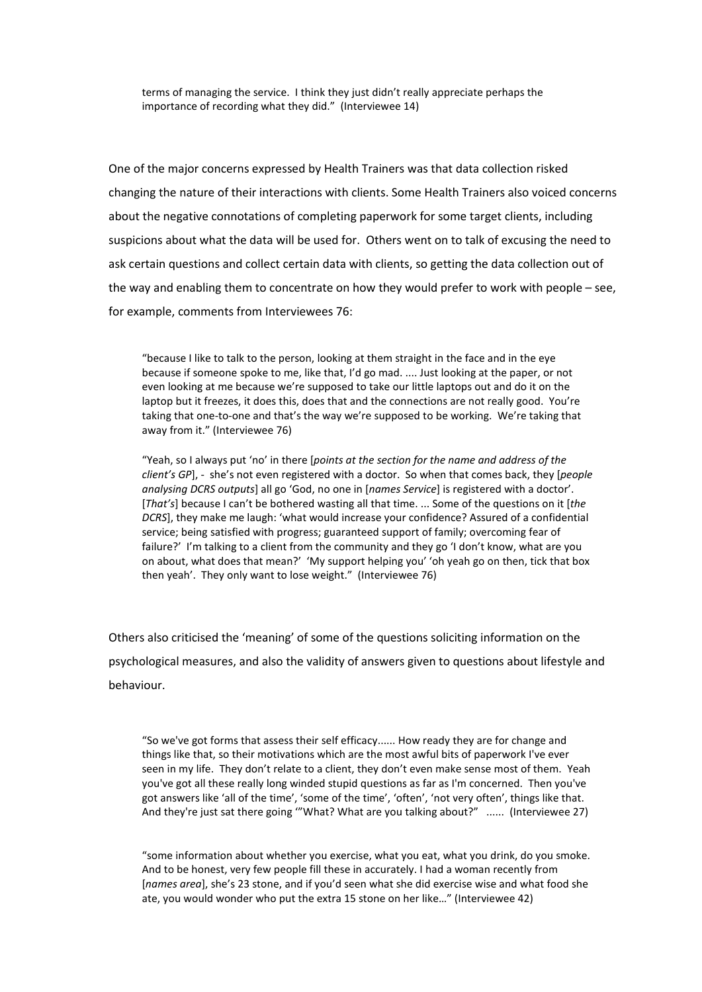terms of managing the service. I think they just didn't really appreciate perhaps the importance of recording what they did." (Interviewee 14)

One of the major concerns expressed by Health Trainers was that data collection risked changing the nature of their interactions with clients. Some Health Trainers also voiced concerns about the negative connotations of completing paperwork for some target clients, including suspicions about what the data will be used for. Others went on to talk of excusing the need to ask certain questions and collect certain data with clients, so getting the data collection out of the way and enabling them to concentrate on how they would prefer to work with people – see, for example, comments from Interviewees 76:

"because I like to talk to the person, looking at them straight in the face and in the eye because if someone spoke to me, like that, I'd go mad. .... Just looking at the paper, or not even looking at me because we're supposed to take our little laptops out and do it on the laptop but it freezes, it does this, does that and the connections are not really good. You're taking that one-to-one and that's the way we're supposed to be working. We're taking that away from it." (Interviewee 76)

"Yeah, so I always put 'no' in there [*points at the section for the name and address of the client's GP*], - she's not even registered with a doctor. So when that comes back, they [*people analysing DCRS outputs*] all go 'God, no one in [*names Service*] is registered with a doctor'. [*That's*] because I can't be bothered wasting all that time. ... Some of the questions on it [*the DCRS*], they make me laugh: 'what would increase your confidence? Assured of a confidential service; being satisfied with progress; guaranteed support of family; overcoming fear of failure?' I'm talking to a client from the community and they go 'I don't know, what are you on about, what does that mean?' 'My support helping you' 'oh yeah go on then, tick that box then yeah'. They only want to lose weight." (Interviewee 76)

Others also criticised the 'meaning' of some of the questions soliciting information on the psychological measures, and also the validity of answers given to questions about lifestyle and behaviour.

"So we've got forms that assess their self efficacy...... How ready they are for change and things like that, so their motivations which are the most awful bits of paperwork I've ever seen in my life. They don't relate to a client, they don't even make sense most of them. Yeah you've got all these really long winded stupid questions as far as I'm concerned. Then you've got answers like 'all of the time', 'some of the time', 'often', 'not very often', things like that. And they're just sat there going '"What? What are you talking about?" ...... (Interviewee 27)

"some information about whether you exercise, what you eat, what you drink, do you smoke. And to be honest, very few people fill these in accurately. I had a woman recently from [*names area*], she's 23 stone, and if you'd seen what she did exercise wise and what food she ate, you would wonder who put the extra 15 stone on her like…" (Interviewee 42)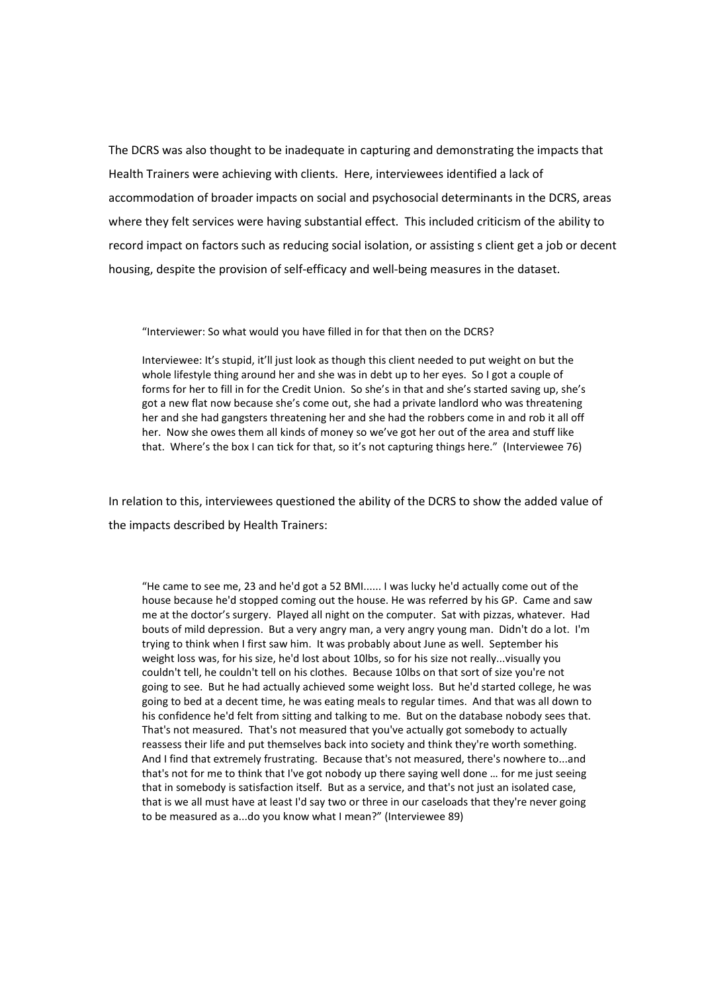The DCRS was also thought to be inadequate in capturing and demonstrating the impacts that Health Trainers were achieving with clients. Here, interviewees identified a lack of accommodation of broader impacts on social and psychosocial determinants in the DCRS, areas where they felt services were having substantial effect. This included criticism of the ability to record impact on factors such as reducing social isolation, or assisting s client get a job or decent housing, despite the provision of self-efficacy and well-being measures in the dataset.

"Interviewer: So what would you have filled in for that then on the DCRS?

Interviewee: It's stupid, it'll just look as though this client needed to put weight on but the whole lifestyle thing around her and she was in debt up to her eyes. So I got a couple of forms for her to fill in for the Credit Union. So she's in that and she's started saving up, she's got a new flat now because she's come out, she had a private landlord who was threatening her and she had gangsters threatening her and she had the robbers come in and rob it all off her. Now she owes them all kinds of money so we've got her out of the area and stuff like that. Where's the box I can tick for that, so it's not capturing things here." (Interviewee 76)

In relation to this, interviewees questioned the ability of the DCRS to show the added value of the impacts described by Health Trainers:

"He came to see me, 23 and he'd got a 52 BMI...... I was lucky he'd actually come out of the house because he'd stopped coming out the house. He was referred by his GP. Came and saw me at the doctor's surgery. Played all night on the computer. Sat with pizzas, whatever. Had bouts of mild depression. But a very angry man, a very angry young man. Didn't do a lot. I'm trying to think when I first saw him. It was probably about June as well. September his weight loss was, for his size, he'd lost about 10lbs, so for his size not really...visually you couldn't tell, he couldn't tell on his clothes. Because 10lbs on that sort of size you're not going to see. But he had actually achieved some weight loss. But he'd started college, he was going to bed at a decent time, he was eating meals to regular times. And that was all down to his confidence he'd felt from sitting and talking to me. But on the database nobody sees that. That's not measured. That's not measured that you've actually got somebody to actually reassess their life and put themselves back into society and think they're worth something. And I find that extremely frustrating. Because that's not measured, there's nowhere to...and that's not for me to think that I've got nobody up there saying well done … for me just seeing that in somebody is satisfaction itself. But as a service, and that's not just an isolated case, that is we all must have at least I'd say two or three in our caseloads that they're never going to be measured as a...do you know what I mean?" (Interviewee 89)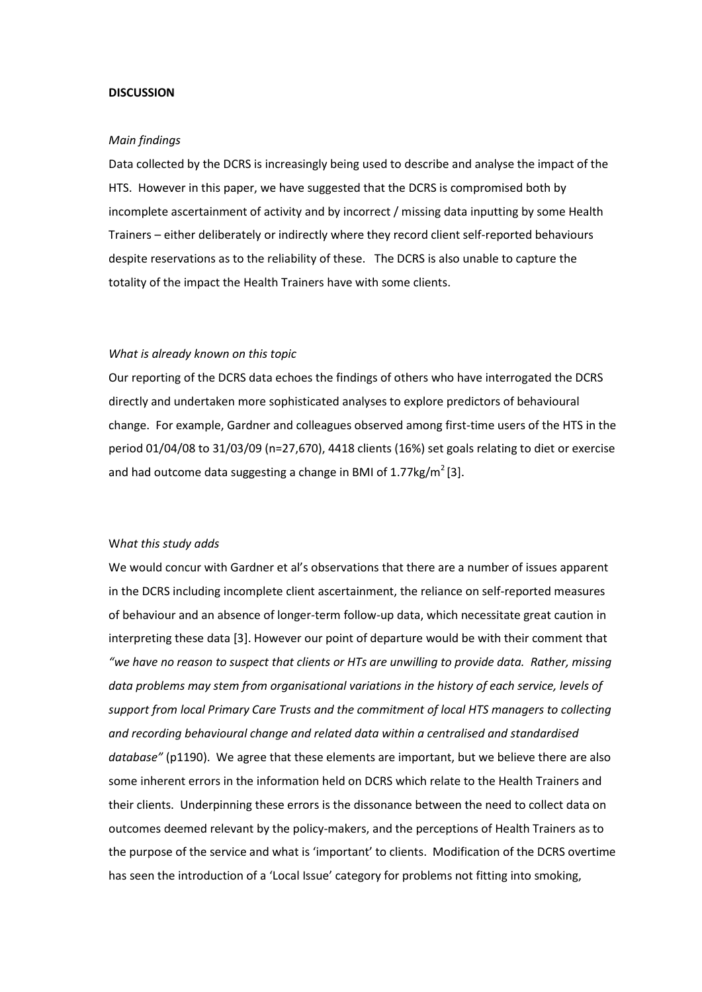#### **DISCUSSION**

#### *Main findings*

Data collected by the DCRS is increasingly being used to describe and analyse the impact of the HTS. However in this paper, we have suggested that the DCRS is compromised both by incomplete ascertainment of activity and by incorrect / missing data inputting by some Health Trainers – either deliberately or indirectly where they record client self-reported behaviours despite reservations as to the reliability of these. The DCRS is also unable to capture the totality of the impact the Health Trainers have with some clients.

#### *What is already known on this topic*

Our reporting of the DCRS data echoes the findings of others who have interrogated the DCRS directly and undertaken more sophisticated analyses to explore predictors of behavioural change. For example, Gardner and colleagues observed among first-time users of the HTS in the period 01/04/08 to 31/03/09 (n=27,670), 4418 clients (16%) set goals relating to diet or exercise and had outcome data suggesting a change in BMI of  $1.77 \text{kg/m}^2$  [3].

# W*hat this study adds*

We would concur with Gardner et al's observations that there are a number of issues apparent in the DCRS including incomplete client ascertainment, the reliance on self-reported measures of behaviour and an absence of longer-term follow-up data, which necessitate great caution in interpreting these data [3]. However our point of departure would be with their comment that *"we have no reason to suspect that clients or HTs are unwilling to provide data. Rather, missing data problems may stem from organisational variations in the history of each service, levels of support from local Primary Care Trusts and the commitment of local HTS managers to collecting and recording behavioural change and related data within a centralised and standardised database"* (p1190). We agree that these elements are important, but we believe there are also some inherent errors in the information held on DCRS which relate to the Health Trainers and their clients. Underpinning these errors is the dissonance between the need to collect data on outcomes deemed relevant by the policy-makers, and the perceptions of Health Trainers as to the purpose of the service and what is 'important' to clients. Modification of the DCRS overtime has seen the introduction of a 'Local Issue' category for problems not fitting into smoking,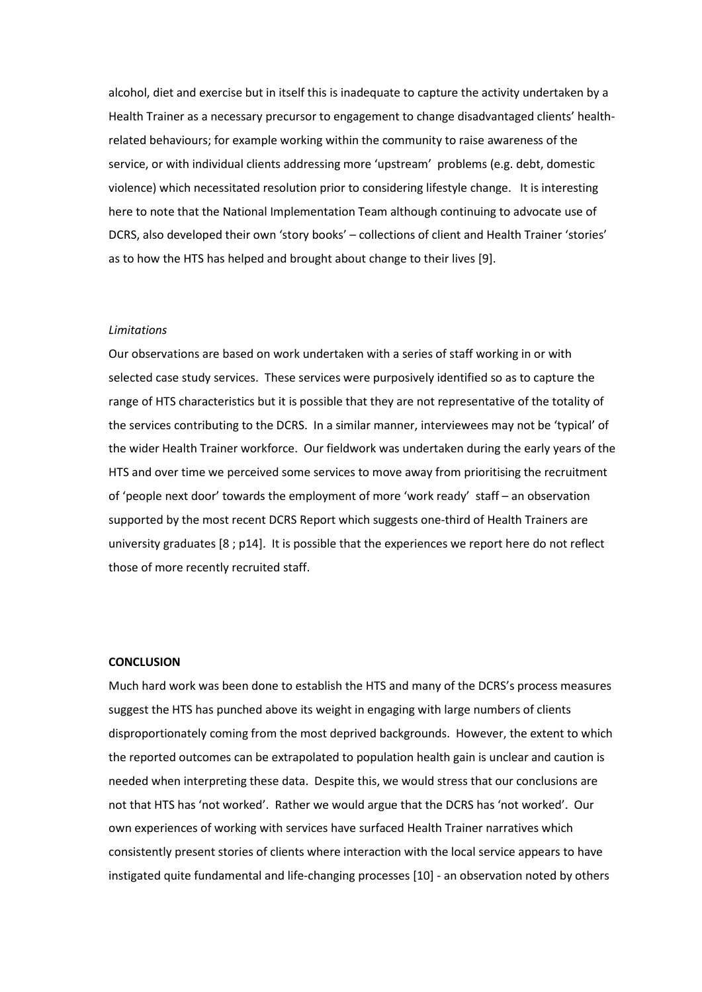alcohol, diet and exercise but in itself this is inadequate to capture the activity undertaken by a Health Trainer as a necessary precursor to engagement to change disadvantaged clients' healthrelated behaviours; for example working within the community to raise awareness of the service, or with individual clients addressing more 'upstream' problems (e.g. debt, domestic violence) which necessitated resolution prior to considering lifestyle change. It is interesting here to note that the National Implementation Team although continuing to advocate use of DCRS, also developed their own 'story books' – collections of client and Health Trainer 'stories' as to how the HTS has helped and brought about change to their lives [9].

# *Limitations*

Our observations are based on work undertaken with a series of staff working in or with selected case study services. These services were purposively identified so as to capture the range of HTS characteristics but it is possible that they are not representative of the totality of the services contributing to the DCRS. In a similar manner, interviewees may not be 'typical' of the wider Health Trainer workforce. Our fieldwork was undertaken during the early years of the HTS and over time we perceived some services to move away from prioritising the recruitment of 'people next door' towards the employment of more 'work ready' staff – an observation supported by the most recent DCRS Report which suggests one-third of Health Trainers are university graduates [8 ; p14]. It is possible that the experiences we report here do not reflect those of more recently recruited staff.

# **CONCLUSION**

Much hard work was been done to establish the HTS and many of the DCRS's process measures suggest the HTS has punched above its weight in engaging with large numbers of clients disproportionately coming from the most deprived backgrounds. However, the extent to which the reported outcomes can be extrapolated to population health gain is unclear and caution is needed when interpreting these data. Despite this, we would stress that our conclusions are not that HTS has 'not worked'. Rather we would argue that the DCRS has 'not worked'. Our own experiences of working with services have surfaced Health Trainer narratives which consistently present stories of clients where interaction with the local service appears to have instigated quite fundamental and life-changing processes [10] - an observation noted by others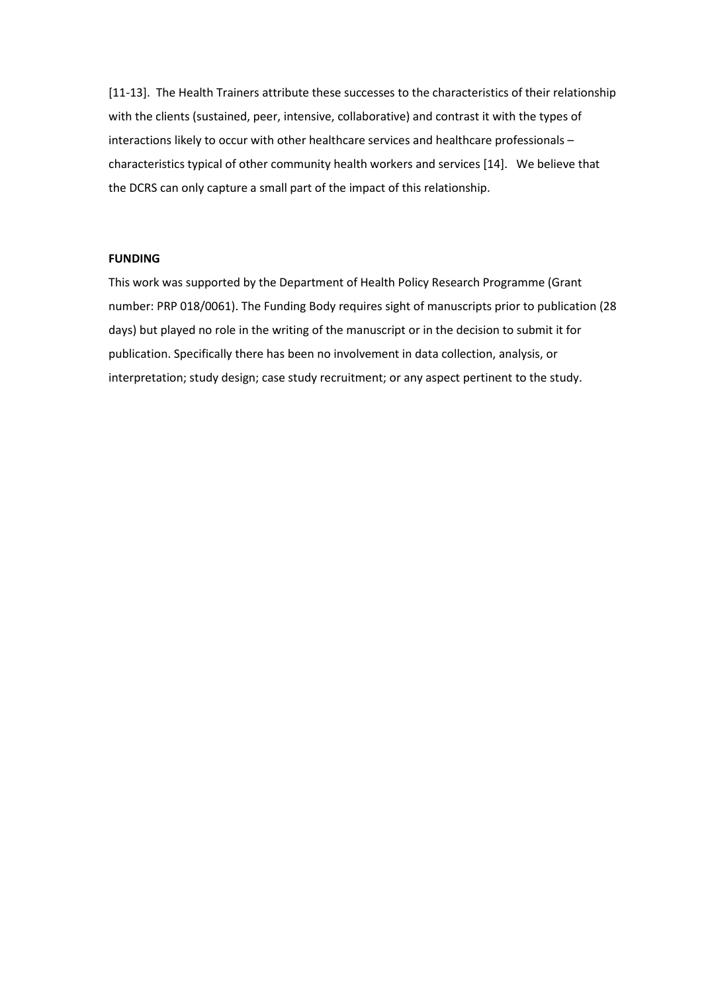[11-13]. The Health Trainers attribute these successes to the characteristics of their relationship with the clients (sustained, peer, intensive, collaborative) and contrast it with the types of interactions likely to occur with other healthcare services and healthcare professionals – characteristics typical of other community health workers and services [14]. We believe that the DCRS can only capture a small part of the impact of this relationship.

# **FUNDING**

This work was supported by the Department of Health Policy Research Programme (Grant number: PRP 018/0061). The Funding Body requires sight of manuscripts prior to publication (28 days) but played no role in the writing of the manuscript or in the decision to submit it for publication. Specifically there has been no involvement in data collection, analysis, or interpretation; study design; case study recruitment; or any aspect pertinent to the study.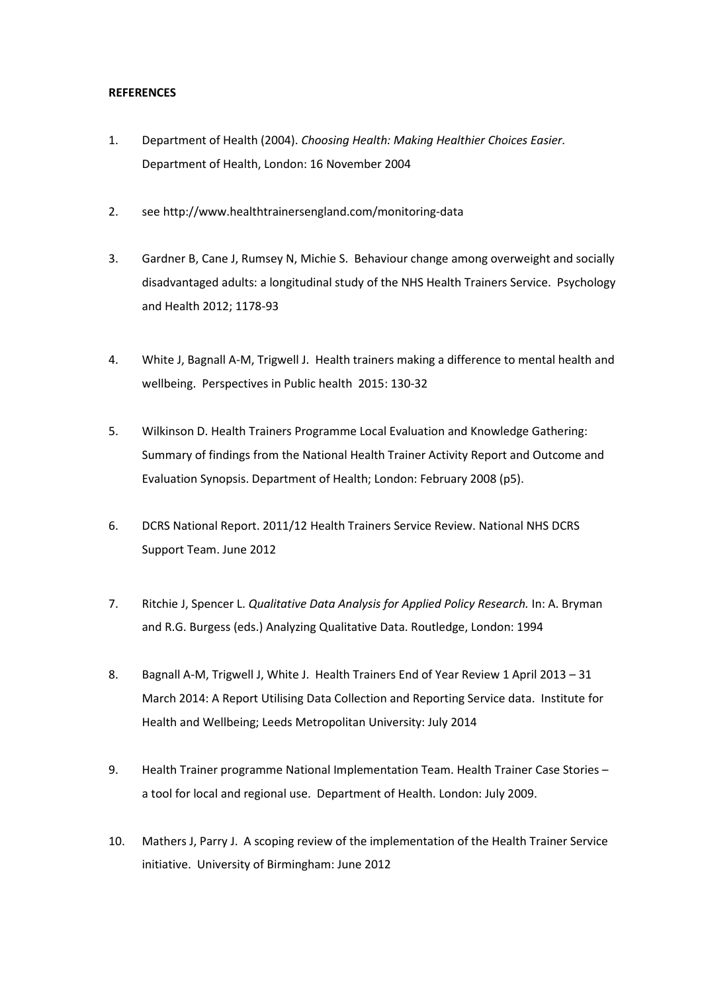# **REFERENCES**

- 1. Department of Health (2004). *Choosing Health: Making Healthier Choices Easier.*  Department of Health, London: 16 November 2004
- 2. see http://www.healthtrainersengland.com/monitoring-data
- 3. Gardner B, Cane J, Rumsey N, Michie S. Behaviour change among overweight and socially disadvantaged adults: a longitudinal study of the NHS Health Trainers Service. Psychology and Health 2012; 1178-93
- 4. White J, Bagnall A-M, Trigwell J. Health trainers making a difference to mental health and wellbeing. Perspectives in Public health 2015: 130-32
- 5. Wilkinson D. Health Trainers Programme Local Evaluation and Knowledge Gathering: Summary of findings from the National Health Trainer Activity Report and Outcome and Evaluation Synopsis. Department of Health; London: February 2008 (p5).
- 6. DCRS National Report. 2011/12 Health Trainers Service Review. National NHS DCRS Support Team. June 2012
- 7. Ritchie J, Spencer L. *Qualitative Data Analysis for Applied Policy Research.* In: A. Bryman and R.G. Burgess (eds.) Analyzing Qualitative Data. Routledge, London: 1994
- 8. Bagnall A-M, Trigwell J, White J. Health Trainers End of Year Review 1 April 2013 31 March 2014: A Report Utilising Data Collection and Reporting Service data. Institute for Health and Wellbeing; Leeds Metropolitan University: July 2014
- 9. Health Trainer programme National Implementation Team. Health Trainer Case Stories a tool for local and regional use. Department of Health. London: July 2009.
- 10. Mathers J, Parry J. A scoping review of the implementation of the Health Trainer Service initiative. University of Birmingham: June 2012